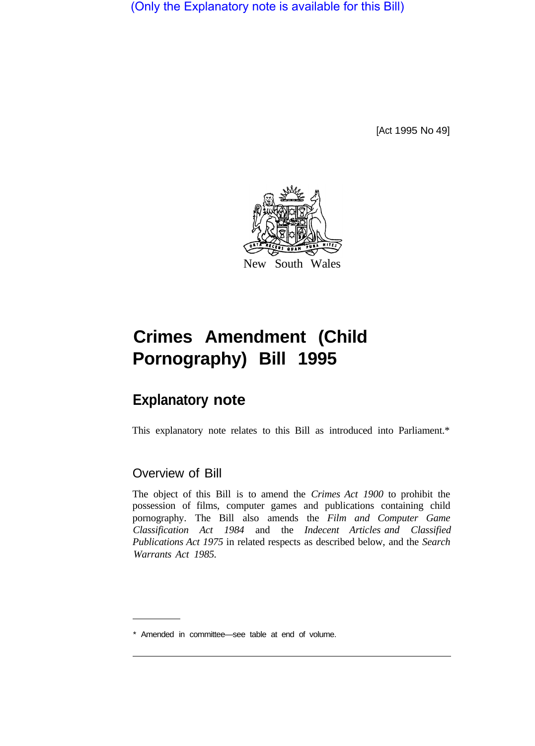(Only the Explanatory note is available for this Bill)

[Act 1995 No 49]



## **Crimes Amendment (Child Pornography) Bill 1995**

## **Explanatory note**

This explanatory note relates to this Bill as introduced into Parliament.\*

## Overview of Bill

The object of this Bill is to amend the *Crimes Act 1900* to prohibit the possession of films, computer games and publications containing child pornography. The Bill also amends the *Film and Computer Game Classification Act 1984* and the *Indecent Articles and Classified Publications Act 1975* in related respects as described below, and the *Search Warrants Act 1985.* 

<sup>\*</sup> Amended in committee—see table at end of volume.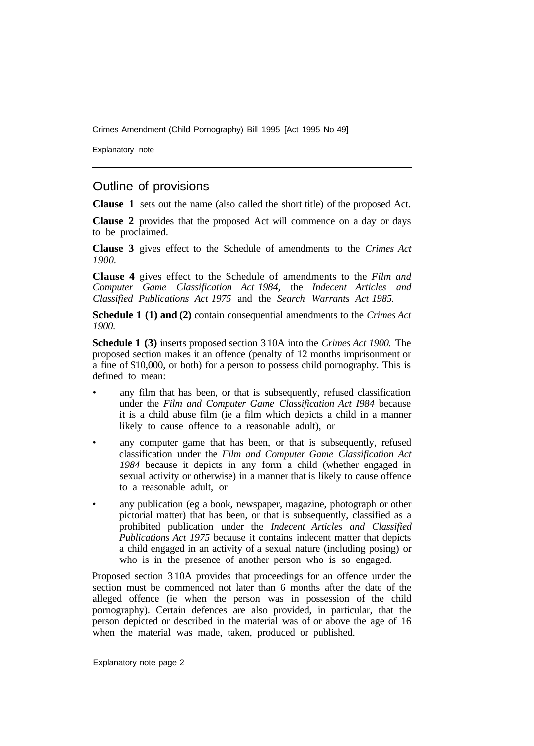Crimes Amendment (Child Pornography) Bill 1995 [Act 1995 No 49]

Explanatory note

## Outline of provisions

**Clause 1** sets out the name (also called the short title) of the proposed Act.

**Clause 2** provides that the proposed Act will commence on a day or days to be proclaimed.

**Clause 3** gives effect to the Schedule of amendments to the *Crimes Act 1900.* 

**Clause 4** gives effect to the Schedule of amendments to the *Film and Computer Game Classification Act 1984,* the *Indecent Articles and Classified Publications Act 1975* and the *Search Warrants Act 1985.* 

**Schedule 1 (1) and (2)** contain consequential amendments to the *Crimes Act 1900.* 

**Schedule 1 (3)** inserts proposed section 3 10A into the *Crimes Act 1900.* The proposed section makes it an offence (penalty of 12 months imprisonment or a fine of \$10,000, or both) for a person to possess child pornography. This is defined to mean:

- any film that has been, or that is subsequently, refused classification under the *Film and Computer Game Classification Act I984* because it is a child abuse film (ie a film which depicts a child in a manner likely to cause offence to a reasonable adult), or
- any computer game that has been, or that is subsequently, refused classification under the *Film and Computer Game Classification Act 1984* because it depicts in any form a child (whether engaged in sexual activity or otherwise) in a manner that is likely to cause offence to a reasonable adult, or
- any publication (eg a book, newspaper, magazine, photograph or other pictorial matter) that has been, or that is subsequently, classified as a prohibited publication under the *Indecent Articles and Classified Publications Act 1975* because it contains indecent matter that depicts a child engaged in an activity of a sexual nature (including posing) or who is in the presence of another person who is so engaged.

Proposed section 3 10A provides that proceedings for an offence under the section must be commenced not later than 6 months after the date of the alleged offence (ie when the person was in possession of the child pornography). Certain defences are also provided, in particular, that the person depicted or described in the material was of or above the age of 16 when the material was made, taken, produced or published.